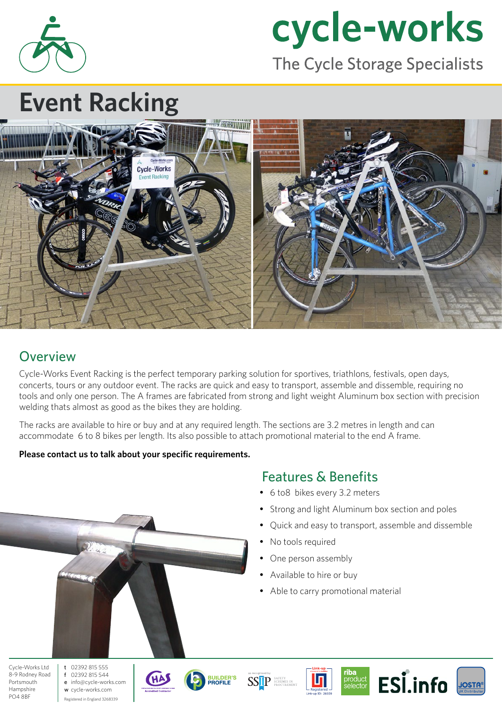

# cycle-works

The Cycle Storage Specialists

# **Event Racking**



#### **Overview**

Cycle-Works Event Racking is the perfect temporary parking solution for sportives, triathlons, festivals, open days, concerts, tours or any outdoor event. The racks are quick and easy to transport, assemble and dissemble, requiring no tools and only one person. The A frames are fabricated from strong and light weight Aluminum box section with precision welding thats almost as good as the bikes they are holding.

The racks are available to hire or buy and at any required length. The sections are 3.2 metres in length and can accommodate 6 to 8 bikes per length. Its also possible to attach promotional material to the end A frame.

#### **Please contact us to talk about your specific requirements.**

#### Features & Benefits

- 6 to8 bikes every 3.2 meters
- Strong and light Aluminum box section and poles
- Quick and easy to transport, assemble and dissemble
- No tools required
- One person assembly
- Available to hire or buy
- Able to carry promotional material

Cycle-Works Ltd 8-9 Rodney Road Portsmouth Hampshire PO4 8BF

t 02392 815 555 f 02392 815 544 e info@cycle-works.com w cycle-works.com Registered in England 3268339